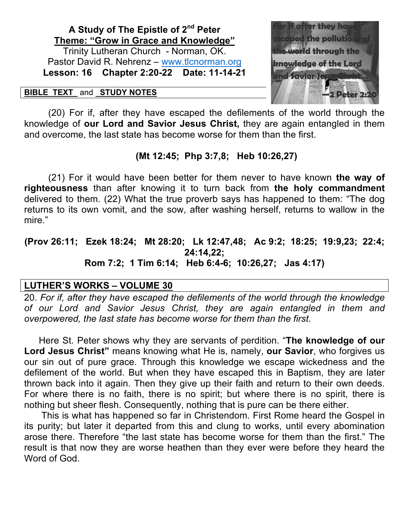# **A Study of The Epistle of 2nd Peter Theme: "Grow in Grace and Knowledge"** Trinity Lutheran Church - Norman, OK.

Pastor David R. Nehrenz – www.tlcnorman.org **Lesson: 16 Chapter 2:20-22 Date: 11-14-21**

#### **BIBLE TEXT** and **STUDY NOTES**



(20) For if, after they have escaped the defilements of the world through the knowledge of **our Lord and Savior Jesus Christ,** they are again entangled in them and overcome, the last state has become worse for them than the first.

## **(Mt 12:45; Php 3:7,8; Heb 10:26,27)**

(21) For it would have been better for them never to have known **the way of righteousness** than after knowing it to turn back from **the holy commandment** delivered to them. (22) What the true proverb says has happened to them: "The dog returns to its own vomit, and the sow, after washing herself, returns to wallow in the mire."

## **(Prov 26:11; Ezek 18:24; Mt 28:20; Lk 12:47,48; Ac 9:2; 18:25; 19:9,23; 22:4; 24:14,22; Rom 7:2; 1 Tim 6:14; Heb 6:4-6; 10:26,27; Jas 4:17)**

# **LUTHER'S WORKS – VOLUME 30**

20. *For if, after they have escaped the defilements of the world through the knowledge of our Lord and Savior Jesus Christ, they are again entangled in them and overpowered, the last state has become worse for them than the first*.

 Here St. Peter shows why they are servants of perdition. "**The knowledge of our Lord Jesus Christ"** means knowing what He is, namely, **our Savior**, who forgives us our sin out of pure grace. Through this knowledge we escape wickedness and the defilement of the world. But when they have escaped this in Baptism, they are later thrown back into it again. Then they give up their faith and return to their own deeds. For where there is no faith, there is no spirit; but where there is no spirit, there is nothing but sheer flesh. Consequently, nothing that is pure can be there either.

 This is what has happened so far in Christendom. First Rome heard the Gospel in its purity; but later it departed from this and clung to works, until every abomination arose there. Therefore "the last state has become worse for them than the first." The result is that now they are worse heathen than they ever were before they heard the Word of God.